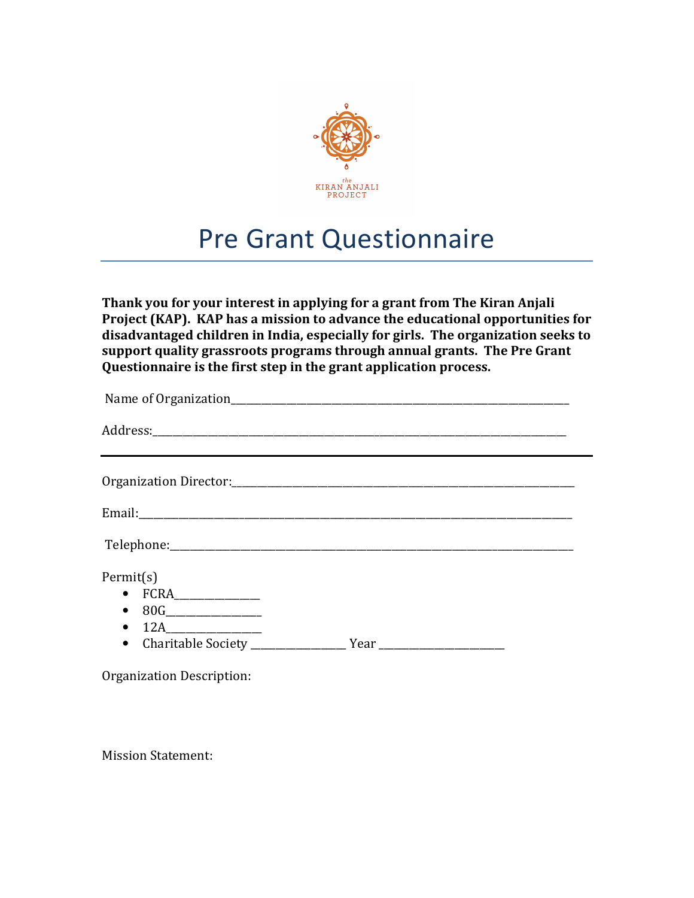

# Pre Grant Questionnaire

Thank you for your interest in applying for a grant from The Kiran Anjali Project (KAP). KAP has a mission to advance the educational opportunities for disadvantaged children in India, especially for girls. The organization seeks to support quality grassroots programs through annual grants. The Pre Grant Questionnaire is the first step in the grant application process.

| Permit(s)<br>$\bullet$ FCRA<br>$\bullet$<br>12A<br>$\bullet$ |  |
|--------------------------------------------------------------|--|
|                                                              |  |

Organization Description:

Mission Statement: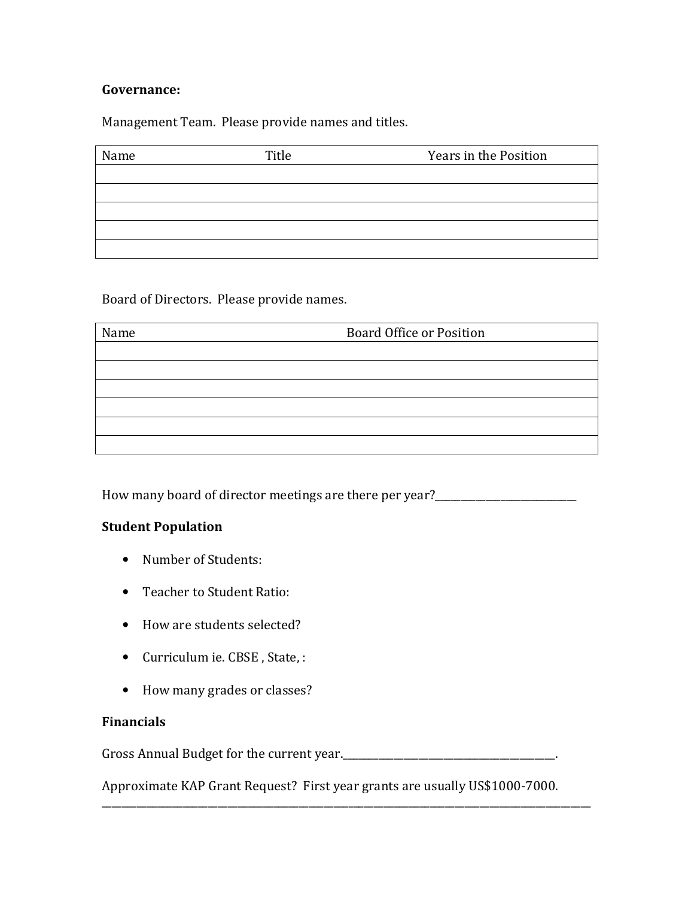## Governance:

Management Team. Please provide names and titles.

| Name | Title | Years in the Position |
|------|-------|-----------------------|
|      |       |                       |
|      |       |                       |
|      |       |                       |
|      |       |                       |
|      |       |                       |

Board of Directors. Please provide names.

| Name | <b>Board Office or Position</b> |  |
|------|---------------------------------|--|
|      |                                 |  |
|      |                                 |  |
|      |                                 |  |
|      |                                 |  |
|      |                                 |  |
|      |                                 |  |

How many board of director meetings are there per year?\_\_\_\_\_\_\_\_\_\_\_\_\_\_\_\_\_\_\_\_\_\_\_\_\_\_\_\_

## Student Population

- Number of Students:
- Teacher to Student Ratio:
- How are students selected?
- Curriculum ie. CBSE , State, :
- How many grades or classes?

#### Financials

Gross Annual Budget for the current year.\_\_\_\_\_\_\_\_\_\_\_\_\_\_\_\_\_\_\_\_\_\_\_\_\_\_\_\_\_\_\_\_\_\_\_\_\_\_\_\_\_\_.

Approximate KAP Grant Request? First year grants are usually US\$1000-7000.

\_\_\_\_\_\_\_\_\_\_\_\_\_\_\_\_\_\_\_\_\_\_\_\_\_\_\_\_\_\_\_\_\_\_\_\_\_\_\_\_\_\_\_\_\_\_\_\_\_\_\_\_\_\_\_\_\_\_\_\_\_\_\_\_\_\_\_\_\_\_\_\_\_\_\_\_\_\_\_\_\_\_\_\_\_\_\_\_\_\_\_\_\_\_\_\_\_